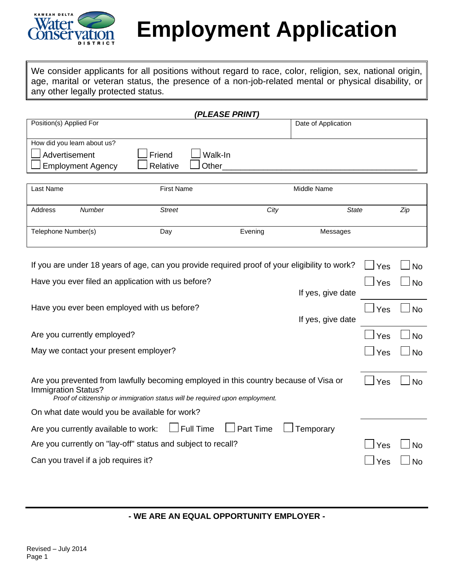

# **Employment Application**

We consider applicants for all positions without regard to race, color, religion, sex, national origin, age, marital or veteran status, the presence of a non-job-related mental or physical disability, or any other legally protected status.

|                             |          | (PLEASE PRINT) |                     |
|-----------------------------|----------|----------------|---------------------|
| Position(s) Applied For     |          |                | Date of Application |
|                             |          |                |                     |
| How did you learn about us? |          |                |                     |
| Advertisement               | Friend   | Walk-In        |                     |
| $\Box$ Employment Agency    | Relative | Other          |                     |
|                             |          |                |                     |

| Last Name           |        | <b>First Name</b> | Middle Name |              |     |  |
|---------------------|--------|-------------------|-------------|--------------|-----|--|
| Address             | Number | <b>Street</b>     | City        | <b>State</b> | Zip |  |
| Telephone Number(s) |        | Day               | Evening     | Messages     |     |  |

| If you are under 18 years of age, can you provide required proof of your eligibility to work?                                                                                               | Yes | <b>No</b>      |
|---------------------------------------------------------------------------------------------------------------------------------------------------------------------------------------------|-----|----------------|
| Have you ever filed an application with us before?                                                                                                                                          | Yes | <b>No</b>      |
| If yes, give date                                                                                                                                                                           |     |                |
| Have you ever been employed with us before?                                                                                                                                                 | Yes | <b>No</b>      |
| If yes, give date                                                                                                                                                                           |     |                |
| Are you currently employed?                                                                                                                                                                 | Yes | <b>No</b>      |
| May we contact your present employer?                                                                                                                                                       | Yes | <b>No</b>      |
|                                                                                                                                                                                             |     |                |
| Are you prevented from lawfully becoming employed in this country because of Visa or<br>Immigration Status?<br>Proof of citizenship or immigration status will be required upon employment. | Yes | N <sub>0</sub> |
| On what date would you be available for work?                                                                                                                                               |     |                |
| $\Box$ Full Time<br>$\Box$ Part Time<br>Are you currently available to work:<br>Temporary                                                                                                   |     |                |
| Are you currently on "lay-off" status and subject to recall?                                                                                                                                | Yes | N <sub>0</sub> |
| Can you travel if a job requires it?                                                                                                                                                        | Yes | N٥             |

**- WE ARE AN EQUAL OPPORTUNITY EMPLOYER -**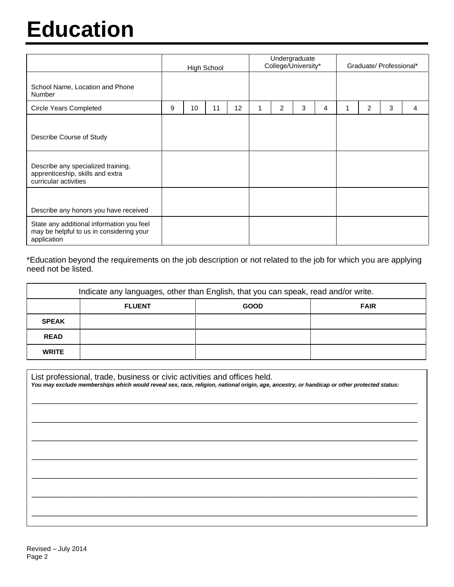# **Education**

|                                                                                                      | <b>High School</b> |    |    | Undergraduate<br>College/University* |  |   | Graduate/ Professional* |   |   |   |   |   |
|------------------------------------------------------------------------------------------------------|--------------------|----|----|--------------------------------------|--|---|-------------------------|---|---|---|---|---|
| School Name, Location and Phone<br>Number                                                            |                    |    |    |                                      |  |   |                         |   |   |   |   |   |
| <b>Circle Years Completed</b>                                                                        | 9                  | 10 | 11 | 12                                   |  | 2 | 3                       | 4 | 1 | 2 | 3 | 4 |
| Describe Course of Study                                                                             |                    |    |    |                                      |  |   |                         |   |   |   |   |   |
| Describe any specialized training,<br>apprenticeship, skills and extra<br>curricular activities      |                    |    |    |                                      |  |   |                         |   |   |   |   |   |
| Describe any honors you have received                                                                |                    |    |    |                                      |  |   |                         |   |   |   |   |   |
| State any additional information you feel<br>may be helpful to us in considering your<br>application |                    |    |    |                                      |  |   |                         |   |   |   |   |   |

\*Education beyond the requirements on the job description or not related to the job for which you are applying need not be listed.

| Indicate any languages, other than English, that you can speak, read and/or write. |                                             |  |  |  |  |  |  |
|------------------------------------------------------------------------------------|---------------------------------------------|--|--|--|--|--|--|
|                                                                                    | <b>FLUENT</b><br><b>FAIR</b><br><b>GOOD</b> |  |  |  |  |  |  |
| <b>SPEAK</b>                                                                       |                                             |  |  |  |  |  |  |
| <b>READ</b>                                                                        |                                             |  |  |  |  |  |  |
| <b>WRITE</b>                                                                       |                                             |  |  |  |  |  |  |

| List professional, trade, business or civic activities and offices held.<br>You may exclude memberships which would reveal sex, race, religion, national origin, age, ancestry, or handicap or other protected status: |  |  |  |  |
|------------------------------------------------------------------------------------------------------------------------------------------------------------------------------------------------------------------------|--|--|--|--|
|                                                                                                                                                                                                                        |  |  |  |  |
|                                                                                                                                                                                                                        |  |  |  |  |
|                                                                                                                                                                                                                        |  |  |  |  |
|                                                                                                                                                                                                                        |  |  |  |  |
|                                                                                                                                                                                                                        |  |  |  |  |
|                                                                                                                                                                                                                        |  |  |  |  |
|                                                                                                                                                                                                                        |  |  |  |  |
|                                                                                                                                                                                                                        |  |  |  |  |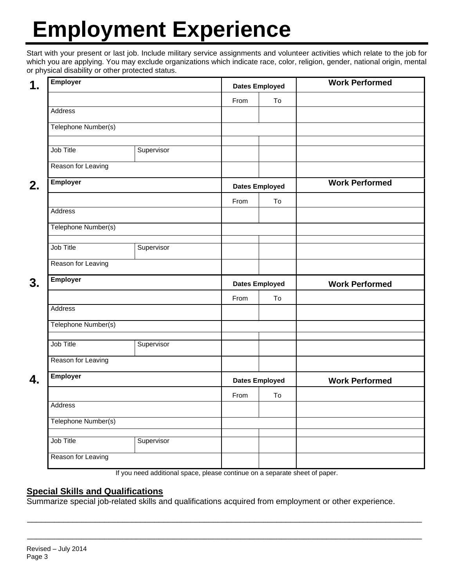# **Employment Experience**

Start with your present or last job. Include military service assignments and volunteer activities which relate to the job for which you are applying. You may exclude organizations which indicate race, color, religion, gender, national origin, mental or physical disability or other protected status.

| <b>Employer</b><br>1. |                                |            |                       | <b>Dates Employed</b> | <b>Work Performed</b> |
|-----------------------|--------------------------------|------------|-----------------------|-----------------------|-----------------------|
|                       |                                |            | From                  | To                    |                       |
|                       | Address<br>Telephone Number(s) |            |                       |                       |                       |
|                       |                                |            |                       |                       |                       |
|                       | Job Title                      |            |                       |                       |                       |
|                       |                                | Supervisor |                       |                       |                       |
|                       | Reason for Leaving             |            |                       |                       |                       |
| 2.                    | <b>Employer</b>                |            |                       | <b>Dates Employed</b> | <b>Work Performed</b> |
|                       |                                |            | From                  | To                    |                       |
|                       | Address                        |            |                       |                       |                       |
|                       | Telephone Number(s)            |            |                       |                       |                       |
|                       | Job Title                      | Supervisor |                       |                       |                       |
|                       | Reason for Leaving             |            |                       |                       |                       |
| 3.                    | <b>Employer</b>                |            | <b>Dates Employed</b> |                       | <b>Work Performed</b> |
|                       |                                |            | From                  | To                    |                       |
|                       | Address                        |            |                       |                       |                       |
|                       | Telephone Number(s)            |            |                       |                       |                       |
|                       | Job Title                      | Supervisor |                       |                       |                       |
|                       | Reason for Leaving             |            |                       |                       |                       |
| 4.                    | <b>Employer</b>                |            |                       | <b>Dates Employed</b> | <b>Work Performed</b> |
|                       |                                |            | From                  | To                    |                       |
|                       |                                | Address    |                       |                       |                       |
|                       | Telephone Number(s)            |            |                       |                       |                       |
|                       | Job Title                      | Supervisor |                       |                       |                       |
|                       | Reason for Leaving             |            |                       |                       |                       |

If you need additional space, please continue on a separate sheet of paper.

\_\_\_\_\_\_\_\_\_\_\_\_\_\_\_\_\_\_\_\_\_\_\_\_\_\_\_\_\_\_\_\_\_\_\_\_\_\_\_\_\_\_\_\_\_\_\_\_\_\_\_\_\_\_\_\_\_\_\_\_\_\_\_\_\_\_\_\_\_\_\_\_\_\_\_\_\_\_\_\_\_\_\_\_\_\_\_

\_\_\_\_\_\_\_\_\_\_\_\_\_\_\_\_\_\_\_\_\_\_\_\_\_\_\_\_\_\_\_\_\_\_\_\_\_\_\_\_\_\_\_\_\_\_\_\_\_\_\_\_\_\_\_\_\_\_\_\_\_\_\_\_\_\_\_\_\_\_\_\_\_\_\_\_\_\_\_\_\_\_\_\_\_\_\_

#### **Special Skills and Qualifications**

Summarize special job-related skills and qualifications acquired from employment or other experience.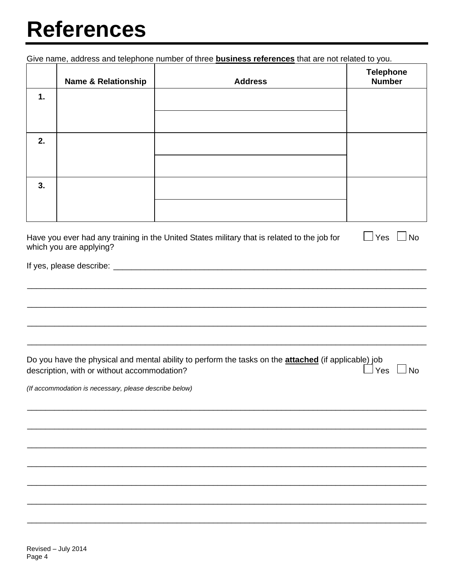### **References**

Give name, address and telephone number of three **business references** that are not related to you.

|    | <b>Name &amp; Relationship</b> | <b>Address</b> | Telephone<br>Number |
|----|--------------------------------|----------------|---------------------|
| 1. |                                |                |                     |
|    |                                |                |                     |
| 2. |                                |                |                     |
|    |                                |                |                     |
| 3. |                                |                |                     |
|    |                                |                |                     |

| Have you ever had any training in the United States military that is related to the job for<br>which you are applying? | $\Box$ Yes $\Box$ No |  |
|------------------------------------------------------------------------------------------------------------------------|----------------------|--|
|                                                                                                                        |                      |  |

| Do you have the physical and mental ability to perform the tasks on the <b>attached</b> (if applicable) job |            |  |
|-------------------------------------------------------------------------------------------------------------|------------|--|
| description, with or without accommodation?                                                                 | □ Yes □ No |  |

(If accommodation is necessary, please describe below)